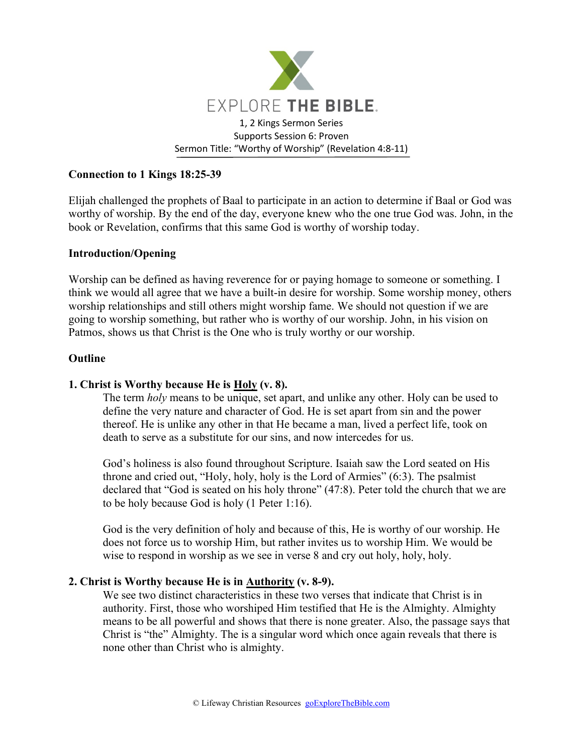

# **Connection to 1 Kings 18:25-39**

Elijah challenged the prophets of Baal to participate in an action to determine if Baal or God was worthy of worship. By the end of the day, everyone knew who the one true God was. John, in the book or Revelation, confirms that this same God is worthy of worship today.

### **Introduction/Opening**

Worship can be defined as having reverence for or paying homage to someone or something. I think we would all agree that we have a built-in desire for worship. Some worship money, others worship relationships and still others might worship fame. We should not question if we are going to worship something, but rather who is worthy of our worship. John, in his vision on Patmos, shows us that Christ is the One who is truly worthy or our worship.

#### **Outline**

### **1. Christ is Worthy because He is Holy (v. 8).**

The term *holy* means to be unique, set apart, and unlike any other. Holy can be used to define the very nature and character of God. He is set apart from sin and the power thereof. He is unlike any other in that He became a man, lived a perfect life, took on death to serve as a substitute for our sins, and now intercedes for us.

God's holiness is also found throughout Scripture. Isaiah saw the Lord seated on His throne and cried out, "Holy, holy, holy is the Lord of Armies" (6:3). The psalmist declared that "God is seated on his holy throne" (47:8). Peter told the church that we are to be holy because God is holy (1 Peter 1:16).

God is the very definition of holy and because of this, He is worthy of our worship. He does not force us to worship Him, but rather invites us to worship Him. We would be wise to respond in worship as we see in verse 8 and cry out holy, holy, holy.

### **2. Christ is Worthy because He is in Authority (v. 8-9).**

We see two distinct characteristics in these two verses that indicate that Christ is in authority. First, those who worshiped Him testified that He is the Almighty. Almighty means to be all powerful and shows that there is none greater. Also, the passage says that Christ is "the" Almighty. The is a singular word which once again reveals that there is none other than Christ who is almighty.